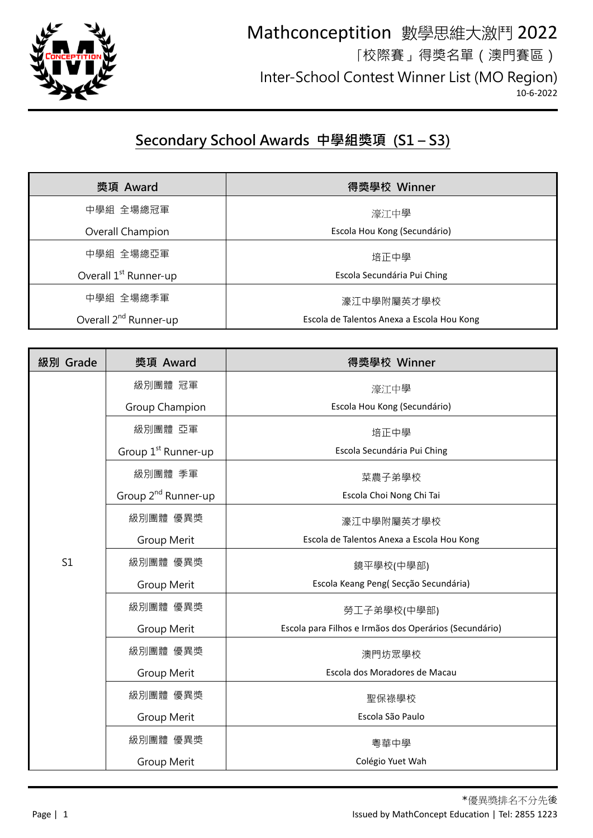

## Mathconceptition 數學思維大激鬥 2022 「校際賽」得獎名單(澳門賽區) Inter-School Contest Winner List (MO Region) 10-6-2022

## **Secondary School Awards 中學組獎項 (S1 – S3)**

| 獎項 Award                          | 得獎學校 Winner                                |
|-----------------------------------|--------------------------------------------|
| 中學組 全場總冠軍                         | 濠江中學                                       |
| Overall Champion                  | Escola Hou Kong (Secundário)               |
| 中學組 全場總亞軍                         | 培正中學                                       |
| Overall 1 <sup>st</sup> Runner-up | Escola Secundária Pui Ching                |
| 中學組 全場總季軍                         | 濠江中學附屬英才學校                                 |
| Overall 2 <sup>nd</sup> Runner-up | Escola de Talentos Anexa a Escola Hou Kong |

| 獎項 Award                        | 得獎學校 Winner                                                       |
|---------------------------------|-------------------------------------------------------------------|
| 級別團體 冠軍                         | 濠江中學                                                              |
| Group Champion                  | Escola Hou Kong (Secundário)                                      |
| 級別團體 亞軍                         | 培正中學                                                              |
| Group 1 <sup>st</sup> Runner-up | Escola Secundária Pui Ching                                       |
| 級別團體 季軍                         | 菜農子弟學校                                                            |
| Group 2 <sup>nd</sup> Runner-up | Escola Choi Nong Chi Tai                                          |
| 級別團體 優異獎                        | 濠江中學附屬英才學校                                                        |
| Group Merit                     | Escola de Talentos Anexa a Escola Hou Kong                        |
| 級別團體 優異獎                        | 鏡平學校(中學部)                                                         |
| Group Merit                     | Escola Keang Peng(Secção Secundária)                              |
| 級別團體 優異獎                        | 勞工子弟學校(中學部)                                                       |
| Group Merit                     | Escola para Filhos e Irmãos dos Operários (Secundário)            |
| 級別團體 優異獎                        | 澳門坊眾學校                                                            |
|                                 | Escola dos Moradores de Macau                                     |
|                                 | 聖保祿學校                                                             |
|                                 | Escola São Paulo                                                  |
|                                 | 粵華中學                                                              |
|                                 | Colégio Yuet Wah                                                  |
|                                 | Group Merit<br>級別團體 優異獎<br>Group Merit<br>級別團體 優異獎<br>Group Merit |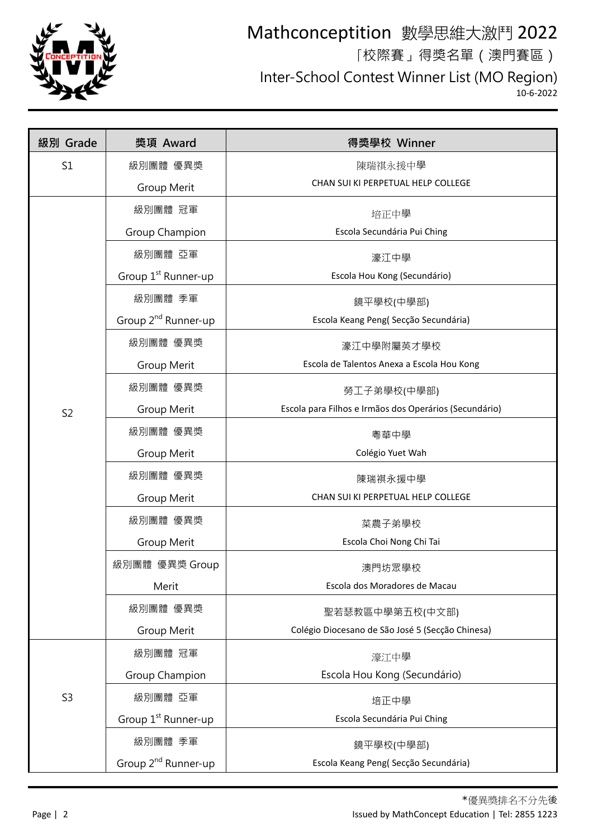

## Mathconceptition 數學思維大激鬥 2022 「校際賽」得獎名單(澳門賽區)

Inter-School Contest Winner List (MO Region)

 $10 - 6 - 2022$ 

| 級別 Grade       | 獎項 Award                        | 得獎學校 Winner                                            |
|----------------|---------------------------------|--------------------------------------------------------|
| S1             | 級別團體 優異獎                        | 陳瑞祺永援中學                                                |
|                | Group Merit                     | CHAN SUI KI PERPETUAL HELP COLLEGE                     |
|                | 級別團體 冠軍                         | 培正中學                                                   |
|                | Group Champion                  | Escola Secundária Pui Ching                            |
|                | 級別團體 亞軍                         | 濠江中學                                                   |
|                | Group 1 <sup>st</sup> Runner-up | Escola Hou Kong (Secundário)                           |
|                | 級別團體 季軍                         | 鏡平學校(中學部)                                              |
|                | Group 2 <sup>nd</sup> Runner-up | Escola Keang Peng(Secção Secundária)                   |
|                | 級別團體 優異獎                        | 濠江中學附屬英才學校                                             |
|                | Group Merit                     | Escola de Talentos Anexa a Escola Hou Kong             |
|                | 級別團體 優異獎                        | 勞工子弟學校(中學部)                                            |
| S <sub>2</sub> | Group Merit                     | Escola para Filhos e Irmãos dos Operários (Secundário) |
|                | 級別團體 優異獎                        | 粵華中學                                                   |
|                | Group Merit                     | Colégio Yuet Wah                                       |
|                | 級別團體 優異獎                        | 陳瑞祺永援中學                                                |
|                | Group Merit                     | CHAN SUI KI PERPETUAL HELP COLLEGE                     |
|                | 級別團體 優異獎                        | 菜農子弟學校                                                 |
|                | Group Merit                     | Escola Choi Nong Chi Tai                               |
|                | 級別團體 優異獎 Group                  | 澳門坊眾學校                                                 |
|                | Merit                           | Escola dos Moradores de Macau                          |
|                | 級別團體 優異獎                        | 聖若瑟教區中學第五校(中文部)                                        |
|                | Group Merit                     | Colégio Diocesano de São José 5 (Secção Chinesa)       |
| S <sub>3</sub> | 級別團體 冠軍                         | 濠江中學                                                   |
|                | Group Champion                  | Escola Hou Kong (Secundário)                           |
|                | 級別團體 亞軍                         | 培正中學                                                   |
|                | Group 1 <sup>st</sup> Runner-up | Escola Secundária Pui Ching                            |
|                | 級別團體 季軍                         | 鏡平學校(中學部)                                              |
|                | Group 2 <sup>nd</sup> Runner-up | Escola Keang Peng(Secção Secundária)                   |